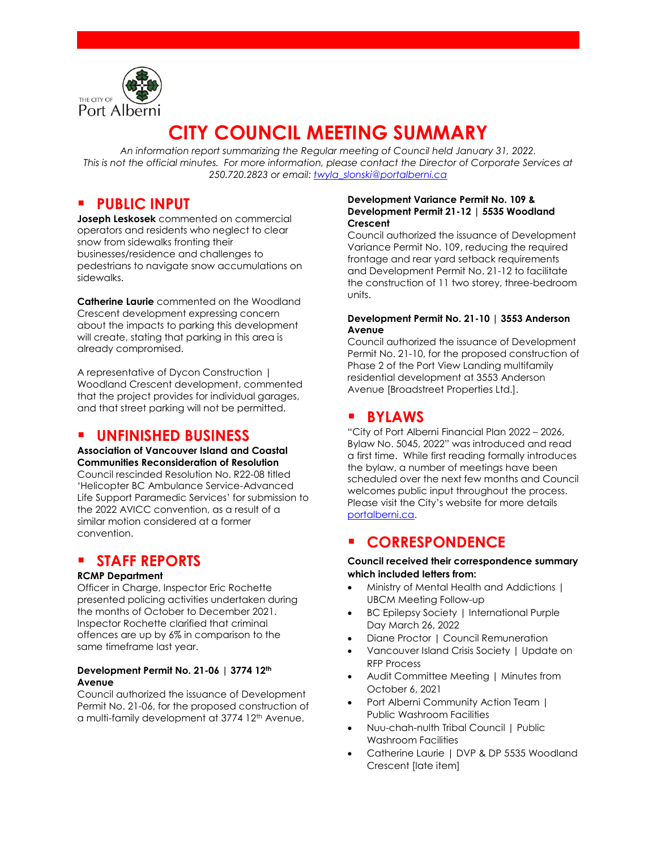

# **CITY COUNCIL MEETING SUMMARY**

*An information report summarizing the Regular meeting of Council held January 31, 2022. This is not the official minutes. For more information, please contact the Director of Corporate Services at 250.720.2823 or email: [twyla\\_slonski@portalberni.ca](mailto:twyla_slonski@portalberni.ca)*

# **PUBLIC INPUT**

**Joseph Leskosek** commented on commercial operators and residents who neglect to clear snow from sidewalks fronting their businesses/residence and challenges to pedestrians to navigate snow accumulations on sidewalks.

**Catherine Laurie** commented on the Woodland Crescent development expressing concern about the impacts to parking this development will create, stating that parking in this area is already compromised.

A representative of Dycon Construction | Woodland Crescent development, commented that the project provides for individual garages, and that street parking will not be permitted.

## ▪ **UNFINISHED BUSINESS**

#### **Association of Vancouver Island and Coastal Communities Reconsideration of Resolution**

Council rescinded Resolution No. R22-08 titled 'Helicopter BC Ambulance Service-Advanced Life Support Paramedic Services' for submission to the 2022 AVICC convention, as a result of a similar motion considered at a former convention.

# **STAFF REPORTS**

#### **RCMP Department**

Officer in Charge, Inspector Eric Rochette presented policing activities undertaken during the months of October to December 2021. Inspector Rochette clarified that criminal offences are up by 6% in comparison to the same timeframe last year.

#### **Development Permit No. 21-06 | 3774 12th Avenue**

Council authorized the issuance of Development Permit No. 21-06, for the proposed construction of a multi-family development at 3774 12<sup>th</sup> Avenue.

#### **Development Variance Permit No. 109 & Development Permit 21-12 | 5535 Woodland Crescent**

Council authorized the issuance of Development Variance Permit No. 109, reducing the required frontage and rear yard setback requirements and Development Permit No. 21-12 to facilitate the construction of 11 two storey, three-bedroom units.

#### **Development Permit No. 21-10 | 3553 Anderson Avenue**

Council authorized the issuance of Development Permit No. 21-10, for the proposed construction of Phase 2 of the Port View Landing multifamily residential development at 3553 Anderson Avenue [Broadstreet Properties Ltd.].

# ▪ **BYLAWS**

"City of Port Alberni Financial Plan 2022 – 2026, Bylaw No. 5045, 2022" was introduced and read a first time. While first reading formally introduces the bylaw, a number of meetings have been scheduled over the next few months and Council welcomes public input throughout the process. Please visit the City's website for more details [portalberni.ca.](http://www.citypa.ca/)

# ▪ **CORRESPONDENCE**

#### **Council received their correspondence summary which included letters from:**

- Ministry of Mental Health and Addictions | UBCM Meeting Follow-up
- BC Epilepsy Society | International Purple Day March 26, 2022
- Diane Proctor | Council Remuneration
- Vancouver Island Crisis Society | Update on RFP Process
- Audit Committee Meeting | Minutes from October 6, 2021
- Port Alberni Community Action Team | Public Washroom Facilities
- Nuu-chah-nulth Tribal Council | Public Washroom Facilities
- Catherine Laurie | DVP & DP 5535 Woodland Crescent [late item]